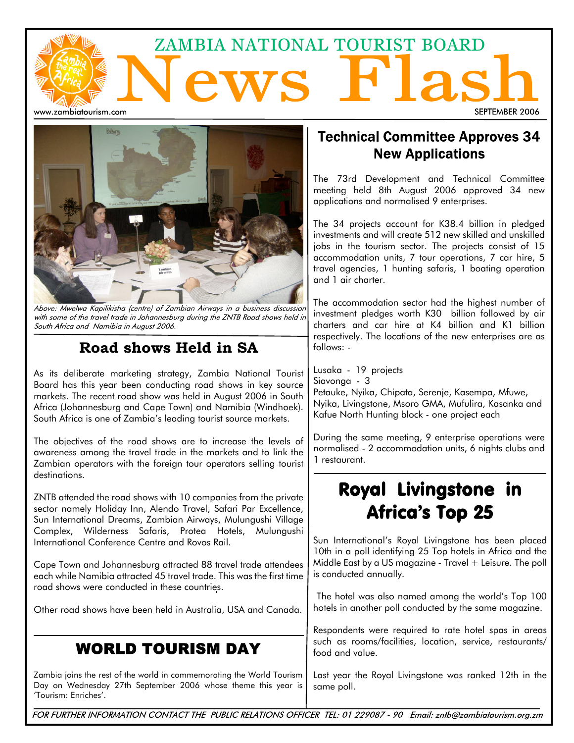# ZAMBIA NATIONAL TOURIST BOARD ews Flas www.zambiatourism.com SEPTEMBER 2006



Above: Mwelwa Kapilikisha (centre) of Zambian Airways in a business discussion with some of the travel trade in Johannesburg during the ZNTB Road shows held in South Africa and Namibia in August 2006.

## Road shows Held in SA

As its deliberate marketing strategy, Zambia National Tourist Board has this year been conducting road shows in key source markets. The recent road show was held in August 2006 in South Africa (Johannesburg and Cape Town) and Namibia (Windhoek). South Africa is one of Zambia's leading tourist source markets.

The objectives of the road shows are to increase the levels of awareness among the travel trade in the markets and to link the Zambian operators with the foreign tour operators selling tourist destinations.

ZNTB attended the road shows with 10 companies from the private sector namely Holiday Inn, Alendo Travel, Safari Par Excellence, Sun International Dreams, Zambian Airways, Mulungushi Village Complex, Wilderness Safaris, Protea Hotels, Mulungushi International Conference Centre and Rovos Rail.

Cape Town and Johannesburg attracted 88 travel trade attendees each while Namibia attracted 45 travel trade. This was the first time road shows were conducted in these countries.

Other road shows have been held in Australia, USA and Canada.

## **WORLD TOURISM DAY**

Zambia joins the rest of the world in commemorating the World Tourism Day on Wednesday 27th September 2006 whose theme this year is 'Tourism: Enriches'.

### **Technical Committee Approves 34 New Applications**

The 73rd Development and Technical Committee meeting held 8th August 2006 approved 34 new applications and normalised 9 enterprises.

The 34 projects account for K38.4 billion in pledged investments and will create 512 new skilled and unskilled jobs in the tourism sector. The projects consist of 15 accommodation units, 7 tour operations, 7 car hire, 5 travel agencies, 1 hunting safaris, 1 boating operation and 1 air charter.

The accommodation sector had the highest number of investment pledges worth K30 billion followed by air charters and car hire at K4 billion and K1 billion respectively. The locations of the new enterprises are as follows: -

Lusaka - 19 projects Siavonga - 3 Petauke, Nyika, Chipata, Serenje, Kasempa, Mfuwe, Nyika, Livingstone, Msoro GMA, Mufulira, Kasanka and Kafue North Hunting block - one project each

During the same meeting, 9 enterprise operations were normalised - 2 accommodation units, 6 nights clubs and 1 restaurant.

# Royal Livingstone in **Africa's Top 25**

Sun International's Royal Livingstone has been placed 10th in a poll identifying 25 Top hotels in Africa and the Middle East by a US magazine - Travel + Leisure. The poll is conducted annually.

The hotel was also named among the world's Top 100 hotels in another poll conducted by the same magazine.

Respondents were required to rate hotel spas in areas such as rooms/facilities, location, service, restaurants/ food and value.

Last year the Royal Livingstone was ranked 12th in the same poll.

FOR FURTHER INFORMATION CONTACT THE PUBLIC RELATIONS OFFICER TEL: 01 229087 - 90 Email: zntb@zambiatourism.org.zm